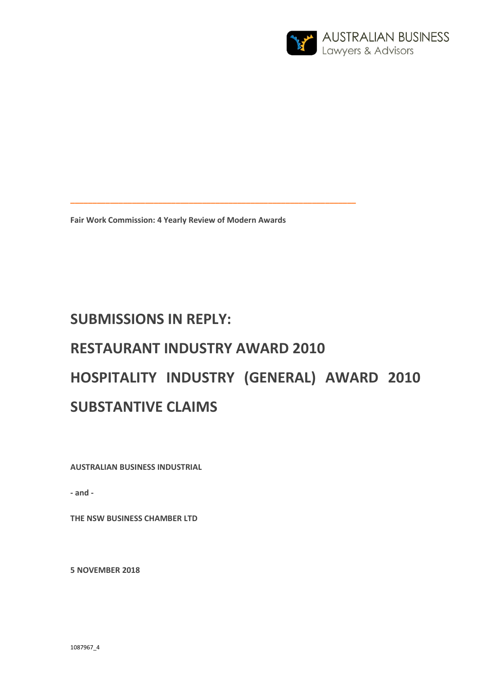

**Fair Work Commission: 4 Yearly Review of Modern Awards** 

**\_\_\_\_\_\_\_\_\_\_\_\_\_\_\_\_\_\_\_\_\_\_\_\_\_\_\_\_\_\_\_\_\_\_\_\_\_\_\_\_\_\_\_\_\_\_\_\_\_\_\_\_\_\_\_\_\_\_\_\_\_\_\_\_\_** 

# **SUBMISSIONS IN REPLY: RESTAURANT INDUSTRY AWARD 2010 HOSPITALITY INDUSTRY (GENERAL) AWARD 2010 SUBSTANTIVE CLAIMS**

**AUSTRALIAN BUSINESS INDUSTRIAL** 

**- and -** 

**THE NSW BUSINESS CHAMBER LTD** 

**5 NOVEMBER 2018**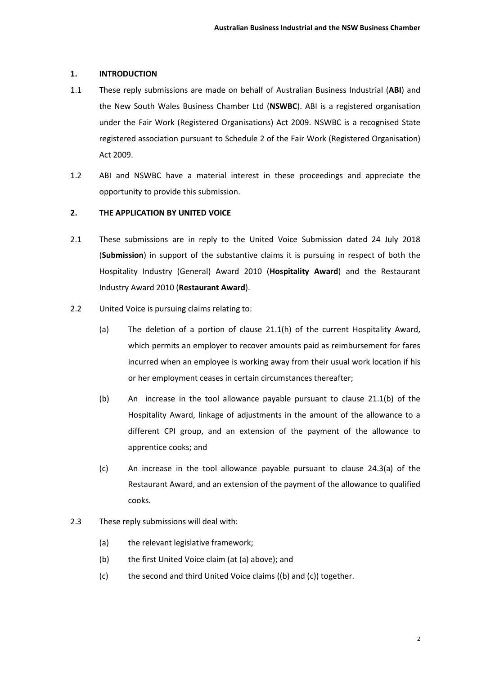## **1. INTRODUCTION**

- 1.1 These reply submissions are made on behalf of Australian Business Industrial (**ABI**) and the New South Wales Business Chamber Ltd (**NSWBC**). ABI is a registered organisation under the Fair Work (Registered Organisations) Act 2009. NSWBC is a recognised State registered association pursuant to Schedule 2 of the Fair Work (Registered Organisation) Act 2009.
- 1.2 ABI and NSWBC have a material interest in these proceedings and appreciate the opportunity to provide this submission.

# **2. THE APPLICATION BY UNITED VOICE**

- 2.1 These submissions are in reply to the United Voice Submission dated 24 July 2018 (**Submission**) in support of the substantive claims it is pursuing in respect of both the Hospitality Industry (General) Award 2010 (**Hospitality Award**) and the Restaurant Industry Award 2010 (**Restaurant Award**).
- 2.2 United Voice is pursuing claims relating to:
	- (a) The deletion of a portion of clause 21.1(h) of the current Hospitality Award, which permits an employer to recover amounts paid as reimbursement for fares incurred when an employee is working away from their usual work location if his or her employment ceases in certain circumstances thereafter;
	- (b) An increase in the tool allowance payable pursuant to clause 21.1(b) of the Hospitality Award, linkage of adjustments in the amount of the allowance to a different CPI group, and an extension of the payment of the allowance to apprentice cooks; and
	- (c) An increase in the tool allowance payable pursuant to clause 24.3(a) of the Restaurant Award, and an extension of the payment of the allowance to qualified cooks.
- 2.3 These reply submissions will deal with:
	- (a) the relevant legislative framework;
	- (b) the first United Voice claim (at (a) above); and
	- (c) the second and third United Voice claims ((b) and (c)) together.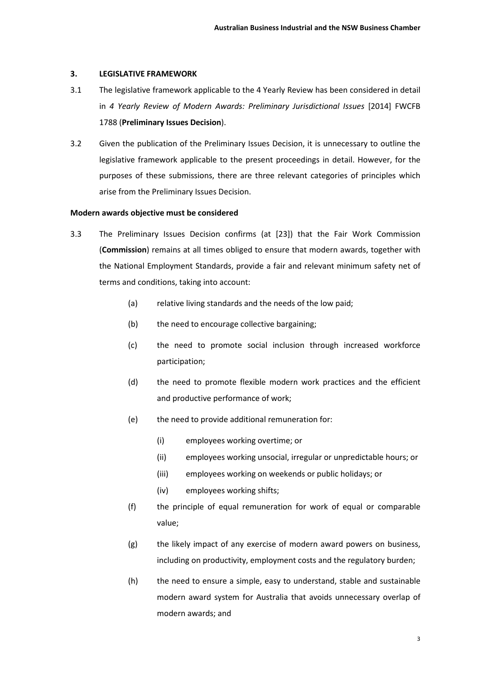#### **3. LEGISLATIVE FRAMEWORK**

- 3.1 The legislative framework applicable to the 4 Yearly Review has been considered in detail in 4 Yearly Review of Modern Awards: Preliminary Jurisdictional Issues [2014] FWCFB 1788 (**Preliminary Issues Decision**).
- 3.2 Given the publication of the Preliminary Issues Decision, it is unnecessary to outline the legislative framework applicable to the present proceedings in detail. However, for the purposes of these submissions, there are three relevant categories of principles which arise from the Preliminary Issues Decision.

#### **Modern awards objective must be considered**

- 3.3 The Preliminary Issues Decision confirms (at [23]) that the Fair Work Commission (**Commission**) remains at all times obliged to ensure that modern awards, together with the National Employment Standards, provide a fair and relevant minimum safety net of terms and conditions, taking into account:
	- (a) relative living standards and the needs of the low paid:
	- (b) the need to encourage collective bargaining;
	- (c) the need to promote social inclusion through increased workforce participation;
	- (d) the need to promote flexible modern work practices and the efficient and productive performance of work;
	- (e) the need to provide additional remuneration for:
		- (i) employees working overtime; or
		- (ii) employees working unsocial, irregular or unpredictable hours; or
		- (iii) employees working on weekends or public holidays; or
		- (iv) employees working shifts;
	- (f) the principle of equal remuneration for work of equal or comparable value;
	- (g) the likely impact of any exercise of modern award powers on business, including on productivity, employment costs and the regulatory burden;
	- (h) the need to ensure a simple, easy to understand, stable and sustainable modern award system for Australia that avoids unnecessary overlap of modern awards; and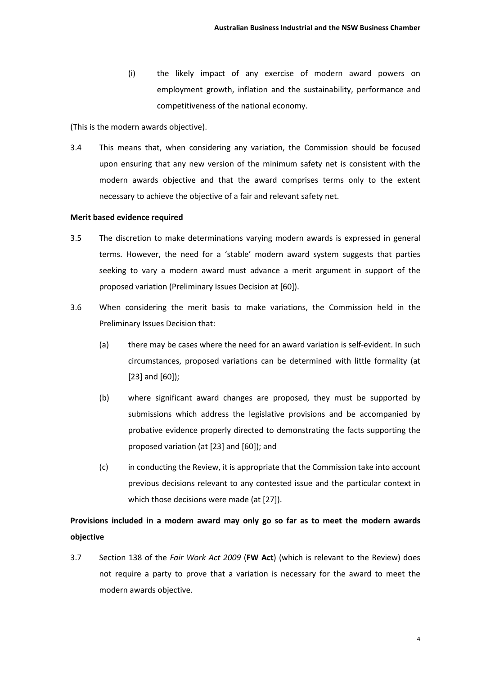(i) the likely impact of any exercise of modern award powers on employment growth, inflation and the sustainability, performance and competitiveness of the national economy.

(This is the modern awards objective).

3.4 This means that, when considering any variation, the Commission should be focused upon ensuring that any new version of the minimum safety net is consistent with the modern awards objective and that the award comprises terms only to the extent necessary to achieve the objective of a fair and relevant safety net.

#### **Merit based evidence required**

- 3.5 The discretion to make determinations varying modern awards is expressed in general terms. However, the need for a 'stable' modern award system suggests that parties seeking to vary a modern award must advance a merit argument in support of the proposed variation (Preliminary Issues Decision at [60]).
- 3.6 When considering the merit basis to make variations, the Commission held in the Preliminary Issues Decision that:
	- (a) there may be cases where the need for an award variation is self-evident. In such circumstances, proposed variations can be determined with little formality (at [23] and [60]);
	- (b) where significant award changes are proposed, they must be supported by submissions which address the legislative provisions and be accompanied by probative evidence properly directed to demonstrating the facts supporting the proposed variation (at [23] and [60]); and
	- (c) in conducting the Review, it is appropriate that the Commission take into account previous decisions relevant to any contested issue and the particular context in which those decisions were made (at [27]).

# **Provisions included in a modern award may only go so far as to meet the modern awards objective**

3.7 Section 138 of the *Fair Work Act 2009* (**FW Act**) (which is relevant to the Review) does not require a party to prove that a variation is necessary for the award to meet the modern awards objective.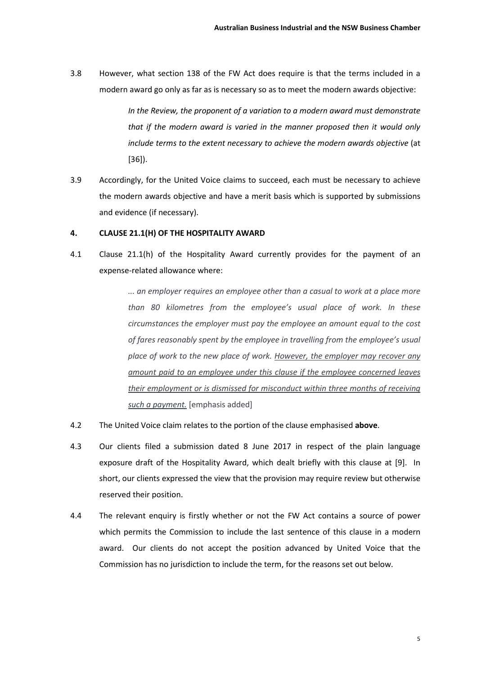3.8 However, what section 138 of the FW Act does require is that the terms included in a modern award go only as far as is necessary so as to meet the modern awards objective:

> *In the Review, the proponent of a variation to a modern award must demonstrate that if the modern award is varied in the manner proposed then it would only include terms to the extent necessary to achieve the modern awards objective* (at [36]).

3.9 Accordingly, for the United Voice claims to succeed, each must be necessary to achieve the modern awards objective and have a merit basis which is supported by submissions and evidence (if necessary).

# **4. CLAUSE 21.1(H) OF THE HOSPITALITY AWARD**

4.1 Clause 21.1(h) of the Hospitality Award currently provides for the payment of an expense-related allowance where:

> *... an employer requires an employee other than a casual to work at a place more than 80 kilometres from the employee's usual place of work. In these circumstances the employer must pay the employee an amount equal to the cost of fares reasonably spent by the employee in travelling from the employee's usual place of work to the new place of work. However, the employer may recover any amount paid to an employee under this clause if the employee concerned leaves their employment or is dismissed for misconduct within three months of receiving such a payment.* [emphasis added]

- 4.2 The United Voice claim relates to the portion of the clause emphasised **above**.
- 4.3 Our clients filed a submission dated 8 June 2017 in respect of the plain language exposure draft of the Hospitality Award, which dealt briefly with this clause at [9]. In short, our clients expressed the view that the provision may require review but otherwise reserved their position.
- 4.4 The relevant enquiry is firstly whether or not the FW Act contains a source of power which permits the Commission to include the last sentence of this clause in a modern award. Our clients do not accept the position advanced by United Voice that the Commission has no jurisdiction to include the term, for the reasons set out below.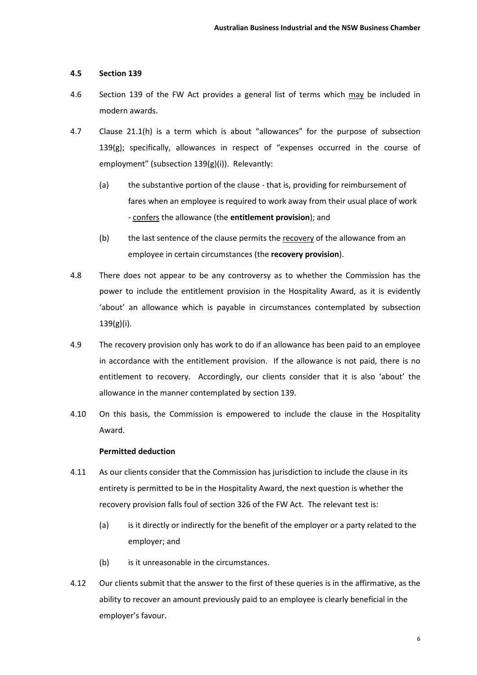# **4.5 Section 139**

- 4.6 Section 139 of the FW Act provides a general list of terms which may be included in modern awards.
- 4.7 Clause 21.1(h) is a term which is about "allowances" for the purpose of subsection 139(g); specifically, allowances in respect of "expenses occurred in the course of employment" (subsection 139(g)(i)). Relevantly:
	- (a) the substantive portion of the clause that is, providing for reimbursement of fares when an employee is required to work away from their usual place of work - confers the allowance (the **entitlement provision**); and
	- (b) the last sentence of the clause permits the recovery of the allowance from an employee in certain circumstances (the **recovery provision**).
- 4.8 There does not appear to be any controversy as to whether the Commission has the power to include the entitlement provision in the Hospitality Award, as it is evidently 'about' an allowance which is payable in circumstances contemplated by subsection 139(g)(i).
- 4.9 The recovery provision only has work to do if an allowance has been paid to an employee in accordance with the entitlement provision. If the allowance is not paid, there is no entitlement to recovery. Accordingly, our clients consider that it is also 'about' the allowance in the manner contemplated by section 139.
- 4.10 On this basis, the Commission is empowered to include the clause in the Hospitality Award.

## **Permitted deduction**

- 4.11 As our clients consider that the Commission has jurisdiction to include the clause in its entirety is permitted to be in the Hospitality Award, the next question is whether the recovery provision falls foul of section 326 of the FW Act. The relevant test is:
	- (a) is it directly or indirectly for the benefit of the employer or a party related to the employer; and
	- (b) is it unreasonable in the circumstances.
- 4.12 Our clients submit that the answer to the first of these queries is in the affirmative, as the ability to recover an amount previously paid to an employee is clearly beneficial in the employer's favour.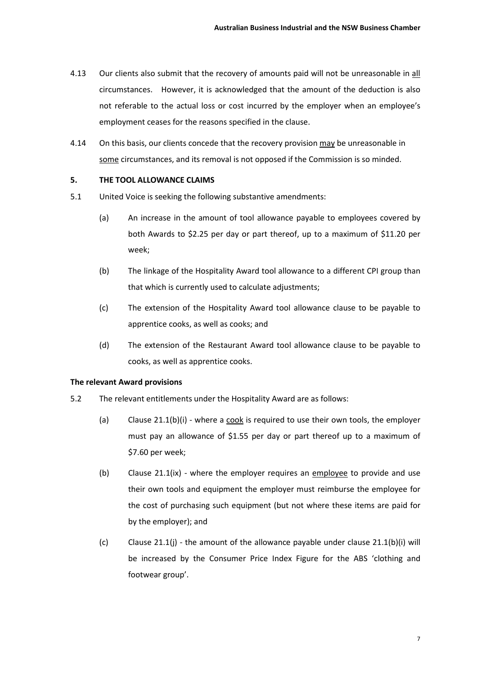- 4.13 Our clients also submit that the recovery of amounts paid will not be unreasonable in all circumstances. However, it is acknowledged that the amount of the deduction is also not referable to the actual loss or cost incurred by the employer when an employee's employment ceases for the reasons specified in the clause.
- 4.14 On this basis, our clients concede that the recovery provision may be unreasonable in some circumstances, and its removal is not opposed if the Commission is so minded.

# **5. THE TOOL ALLOWANCE CLAIMS**

- 5.1 United Voice is seeking the following substantive amendments:
	- (a) An increase in the amount of tool allowance payable to employees covered by both Awards to \$2.25 per day or part thereof, up to a maximum of \$11.20 per week;
	- (b) The linkage of the Hospitality Award tool allowance to a different CPI group than that which is currently used to calculate adjustments;
	- (c) The extension of the Hospitality Award tool allowance clause to be payable to apprentice cooks, as well as cooks; and
	- (d) The extension of the Restaurant Award tool allowance clause to be payable to cooks, as well as apprentice cooks.

#### **The relevant Award provisions**

- 5.2 The relevant entitlements under the Hospitality Award are as follows:
	- (a) Clause 21.1(b)(i) where a cook is required to use their own tools, the employer must pay an allowance of \$1.55 per day or part thereof up to a maximum of \$7.60 per week;
	- (b) Clause 21.1(ix) where the employer requires an employee to provide and use their own tools and equipment the employer must reimburse the employee for the cost of purchasing such equipment (but not where these items are paid for by the employer); and
	- (c) Clause 21.1(j) the amount of the allowance payable under clause  $21.1(b)(i)$  will be increased by the Consumer Price Index Figure for the ABS 'clothing and footwear group'.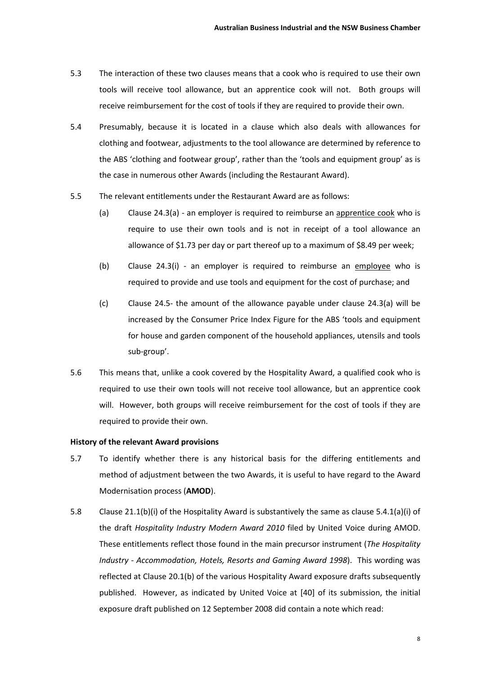- 5.3 The interaction of these two clauses means that a cook who is required to use their own tools will receive tool allowance, but an apprentice cook will not. Both groups will receive reimbursement for the cost of tools if they are required to provide their own.
- 5.4 Presumably, because it is located in a clause which also deals with allowances for clothing and footwear, adjustments to the tool allowance are determined by reference to the ABS 'clothing and footwear group', rather than the 'tools and equipment group' as is the case in numerous other Awards (including the Restaurant Award).
- 5.5 The relevant entitlements under the Restaurant Award are as follows:
	- (a) Clause  $24.3(a)$  an employer is required to reimburse an apprentice cook who is require to use their own tools and is not in receipt of a tool allowance an allowance of \$1.73 per day or part thereof up to a maximum of \$8.49 per week;
	- (b) Clause 24.3(i) an employer is required to reimburse an employee who is required to provide and use tools and equipment for the cost of purchase; and
	- (c) Clause 24.5- the amount of the allowance payable under clause 24.3(a) will be increased by the Consumer Price Index Figure for the ABS 'tools and equipment for house and garden component of the household appliances, utensils and tools sub-group'.
- 5.6 This means that, unlike a cook covered by the Hospitality Award, a qualified cook who is required to use their own tools will not receive tool allowance, but an apprentice cook will. However, both groups will receive reimbursement for the cost of tools if they are required to provide their own.

#### **History of the relevant Award provisions**

- 5.7 To identify whether there is any historical basis for the differing entitlements and method of adjustment between the two Awards, it is useful to have regard to the Award Modernisation process (**AMOD**).
- 5.8 Clause 21.1(b)(i) of the Hospitality Award is substantively the same as clause 5.4.1(a)(i) of the draft *Hospitality Industry Modern Award 2010* filed by United Voice during AMOD. These entitlements reflect those found in the main precursor instrument (*The Hospitality Industry - Accommodation, Hotels, Resorts and Gaming Award 1998*). This wording was reflected at Clause 20.1(b) of the various Hospitality Award exposure drafts subsequently published. However, as indicated by United Voice at [40] of its submission, the initial exposure draft published on 12 September 2008 did contain a note which read: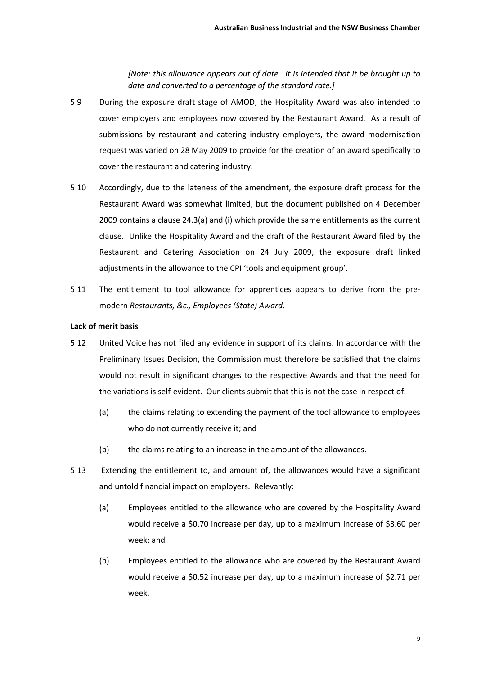*[Note: this allowance appears out of date. It is intended that it be brought up to date and converted to a percentage of the standard rate.]* 

- 5.9 During the exposure draft stage of AMOD, the Hospitality Award was also intended to cover employers and employees now covered by the Restaurant Award. As a result of submissions by restaurant and catering industry employers, the award modernisation request was varied on 28 May 2009 to provide for the creation of an award specifically to cover the restaurant and catering industry.
- 5.10 Accordingly, due to the lateness of the amendment, the exposure draft process for the Restaurant Award was somewhat limited, but the document published on 4 December 2009 contains a clause 24.3(a) and (i) which provide the same entitlements as the current clause. Unlike the Hospitality Award and the draft of the Restaurant Award filed by the Restaurant and Catering Association on 24 July 2009, the exposure draft linked adjustments in the allowance to the CPI 'tools and equipment group'.
- 5.11 The entitlement to tool allowance for apprentices appears to derive from the premodern *Restaurants, &c., Employees (State) Award*.

### **Lack of merit basis**

- 5.12 United Voice has not filed any evidence in support of its claims. In accordance with the Preliminary Issues Decision, the Commission must therefore be satisfied that the claims would not result in significant changes to the respective Awards and that the need for the variations is self-evident. Our clients submit that this is not the case in respect of:
	- (a) the claims relating to extending the payment of the tool allowance to employees who do not currently receive it; and
	- (b) the claims relating to an increase in the amount of the allowances.
- 5.13 Extending the entitlement to, and amount of, the allowances would have a significant and untold financial impact on employers. Relevantly:
	- (a) Employees entitled to the allowance who are covered by the Hospitality Award would receive a \$0.70 increase per day, up to a maximum increase of \$3.60 per week; and
	- (b) Employees entitled to the allowance who are covered by the Restaurant Award would receive a \$0.52 increase per day, up to a maximum increase of \$2.71 per week.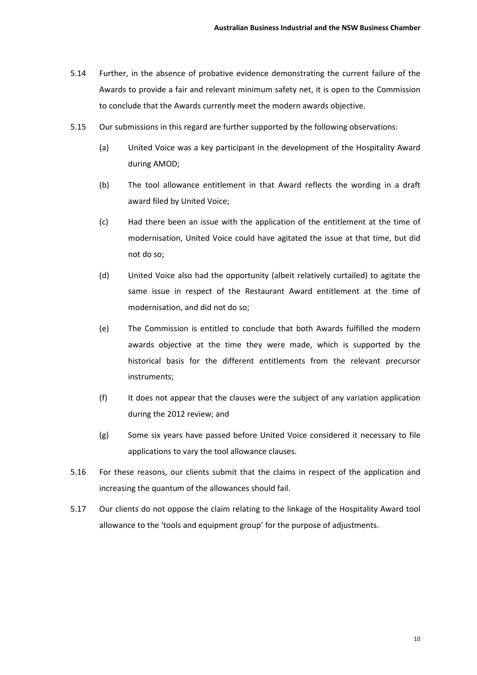- 5.14 Further, in the absence of probative evidence demonstrating the current failure of the Awards to provide a fair and relevant minimum safety net, it is open to the Commission to conclude that the Awards currently meet the modern awards objective.
- 5.15 Our submissions in this regard are further supported by the following observations:
	- (a) United Voice was a key participant in the development of the Hospitality Award during AMOD;
	- (b) The tool allowance entitlement in that Award reflects the wording in a draft award filed by United Voice;
	- (c) Had there been an issue with the application of the entitlement at the time of modernisation, United Voice could have agitated the issue at that time, but did not do so;
	- (d) United Voice also had the opportunity (albeit relatively curtailed) to agitate the same issue in respect of the Restaurant Award entitlement at the time of modernisation, and did not do so;
	- (e) The Commission is entitled to conclude that both Awards fulfilled the modern awards objective at the time they were made, which is supported by the historical basis for the different entitlements from the relevant precursor instruments;
	- (f) It does not appear that the clauses were the subject of any variation application during the 2012 review; and
	- (g) Some six years have passed before United Voice considered it necessary to file applications to vary the tool allowance clauses.
- 5.16 For these reasons, our clients submit that the claims in respect of the application and increasing the quantum of the allowances should fail.
- 5.17 Our clients do not oppose the claim relating to the linkage of the Hospitality Award tool allowance to the 'tools and equipment group' for the purpose of adjustments.